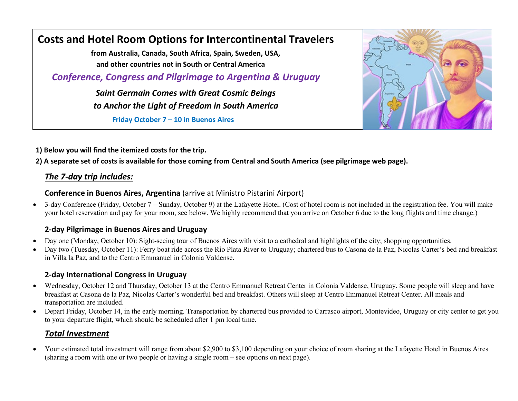# **Costs and Hotel Room Options for Intercontinental Travelers**

 **from Australia, Canada, South Africa, Spain, Sweden, USA, and other countries not in South or Central America**

 *Conference, Congress and Pilgrimage to Argentina & Uruguay*

 *Saint Germain Comes with Great Cosmic Beings to Anchor the Light of Freedom in South America*

 **Friday October 7 – 10 in Buenos Aires** 



**1) Below you will find the itemized costs for the trip. Thursday October 13, 2016**

**2) A separate set of costs is available for those coming from Central and South America (see pilgrimage web page).**

# *The 7-day trip includes:*

#### **Conference in Buenos Aires, Argentina** (arrive at Ministro Pistarini Airport)

 3-day Conference (Friday, October 7 – Sunday, October 9) at the Lafayette Hotel. (Cost of hotel room is not included in the registration fee. You will make your hotel reservation and pay for your room, see below. We highly recommend that you arrive on October 6 due to the long flights and time change.)

#### **2-day Pilgrimage in Buenos Aires and Uruguay**

- Day one (Monday, October 10): Sight-seeing tour of Buenos Aires with visit to a cathedral and highlights of the city; shopping opportunities.
- Day two (Tuesday, October 11): Ferry boat ride across the Rio Plata River to Uruguay; chartered bus to Casona de la Paz, Nicolas Carter's bed and breakfast in Villa la Paz, and to the Centro Emmanuel in Colonia Valdense.

### **2-day International Congress in Uruguay**

- Wednesday, October 12 and Thursday, October 13 at the Centro Emmanuel Retreat Center in Colonia Valdense, Uruguay. Some people will sleep and have breakfast at Casona de la Paz, Nicolas Carter's wonderful bed and breakfast. Others will sleep at Centro Emmanuel Retreat Center. All meals and transportation are included.
- Depart Friday, October 14, in the early morning. Transportation by chartered bus provided to Carrasco airport, Montevideo, Uruguay or city center to get you to your departure flight, which should be scheduled after 1 pm local time.

# *Total Investment*

 Your estimated total investment will range from about \$2,900 to \$3,100 depending on your choice of room sharing at the Lafayette Hotel in Buenos Aires (sharing a room with one or two people or having a single room – see options on next page).